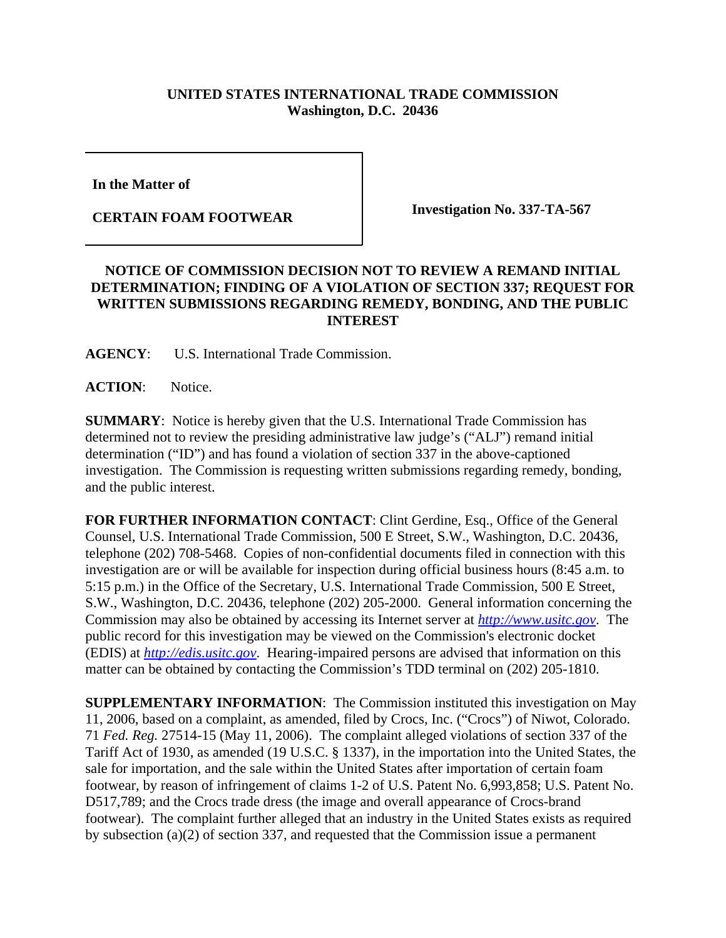## **UNITED STATES INTERNATIONAL TRADE COMMISSION Washington, D.C. 20436**

**In the Matter of** 

**CERTAIN FOAM FOOTWEAR Investigation No. 337-TA-567**

## **NOTICE OF COMMISSION DECISION NOT TO REVIEW A REMAND INITIAL DETERMINATION; FINDING OF A VIOLATION OF SECTION 337; REQUEST FOR WRITTEN SUBMISSIONS REGARDING REMEDY, BONDING, AND THE PUBLIC INTEREST**

**AGENCY**: U.S. International Trade Commission.

**ACTION**: Notice.

**SUMMARY**: Notice is hereby given that the U.S. International Trade Commission has determined not to review the presiding administrative law judge's ("ALJ") remand initial determination ("ID") and has found a violation of section 337 in the above-captioned investigation. The Commission is requesting written submissions regarding remedy, bonding, and the public interest.

**FOR FURTHER INFORMATION CONTACT**: Clint Gerdine, Esq., Office of the General Counsel, U.S. International Trade Commission, 500 E Street, S.W., Washington, D.C. 20436, telephone (202) 708-5468. Copies of non-confidential documents filed in connection with this investigation are or will be available for inspection during official business hours (8:45 a.m. to 5:15 p.m.) in the Office of the Secretary, U.S. International Trade Commission, 500 E Street, S.W., Washington, D.C. 20436, telephone (202) 205-2000. General information concerning the Commission may also be obtained by accessing its Internet server at *http://www.usitc.gov*. The public record for this investigation may be viewed on the Commission's electronic docket (EDIS) at *http://edis.usitc.gov*. Hearing-impaired persons are advised that information on this matter can be obtained by contacting the Commission's TDD terminal on (202) 205-1810.

**SUPPLEMENTARY INFORMATION**: The Commission instituted this investigation on May 11, 2006, based on a complaint, as amended, filed by Crocs, Inc. ("Crocs") of Niwot, Colorado. 71 *Fed. Reg.* 27514-15 (May 11, 2006). The complaint alleged violations of section 337 of the Tariff Act of 1930, as amended (19 U.S.C. § 1337), in the importation into the United States, the sale for importation, and the sale within the United States after importation of certain foam footwear, by reason of infringement of claims 1-2 of U.S. Patent No. 6,993,858; U.S. Patent No. D517,789; and the Crocs trade dress (the image and overall appearance of Crocs-brand footwear). The complaint further alleged that an industry in the United States exists as required by subsection (a)(2) of section 337, and requested that the Commission issue a permanent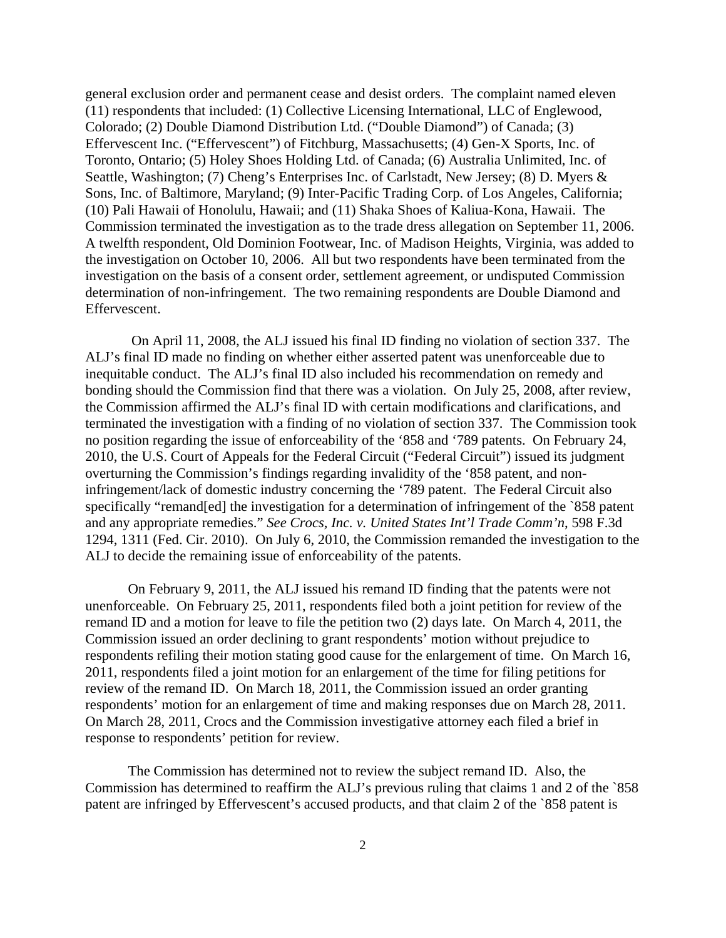general exclusion order and permanent cease and desist orders. The complaint named eleven (11) respondents that included: (1) Collective Licensing International, LLC of Englewood, Colorado; (2) Double Diamond Distribution Ltd. ("Double Diamond") of Canada; (3) Effervescent Inc. ("Effervescent") of Fitchburg, Massachusetts; (4) Gen-X Sports, Inc. of Toronto, Ontario; (5) Holey Shoes Holding Ltd. of Canada; (6) Australia Unlimited, Inc. of Seattle, Washington; (7) Cheng's Enterprises Inc. of Carlstadt, New Jersey; (8) D. Myers & Sons, Inc. of Baltimore, Maryland; (9) Inter-Pacific Trading Corp. of Los Angeles, California; (10) Pali Hawaii of Honolulu, Hawaii; and (11) Shaka Shoes of Kaliua-Kona, Hawaii. The Commission terminated the investigation as to the trade dress allegation on September 11, 2006. A twelfth respondent, Old Dominion Footwear, Inc. of Madison Heights, Virginia, was added to the investigation on October 10, 2006. All but two respondents have been terminated from the investigation on the basis of a consent order, settlement agreement, or undisputed Commission determination of non-infringement. The two remaining respondents are Double Diamond and Effervescent.

 On April 11, 2008, the ALJ issued his final ID finding no violation of section 337. The ALJ's final ID made no finding on whether either asserted patent was unenforceable due to inequitable conduct. The ALJ's final ID also included his recommendation on remedy and bonding should the Commission find that there was a violation. On July 25, 2008, after review, the Commission affirmed the ALJ's final ID with certain modifications and clarifications, and terminated the investigation with a finding of no violation of section 337. The Commission took no position regarding the issue of enforceability of the '858 and '789 patents. On February 24, 2010, the U.S. Court of Appeals for the Federal Circuit ("Federal Circuit") issued its judgment overturning the Commission's findings regarding invalidity of the '858 patent, and noninfringement/lack of domestic industry concerning the '789 patent. The Federal Circuit also specifically "remand[ed] the investigation for a determination of infringement of the `858 patent and any appropriate remedies." *See Crocs, Inc. v. United States Int'l Trade Comm'n*, 598 F.3d 1294, 1311 (Fed. Cir. 2010). On July 6, 2010, the Commission remanded the investigation to the ALJ to decide the remaining issue of enforceability of the patents.

On February 9, 2011, the ALJ issued his remand ID finding that the patents were not unenforceable. On February 25, 2011, respondents filed both a joint petition for review of the remand ID and a motion for leave to file the petition two (2) days late. On March 4, 2011, the Commission issued an order declining to grant respondents' motion without prejudice to respondents refiling their motion stating good cause for the enlargement of time. On March 16, 2011, respondents filed a joint motion for an enlargement of the time for filing petitions for review of the remand ID. On March 18, 2011, the Commission issued an order granting respondents' motion for an enlargement of time and making responses due on March 28, 2011. On March 28, 2011, Crocs and the Commission investigative attorney each filed a brief in response to respondents' petition for review.

The Commission has determined not to review the subject remand ID. Also, the Commission has determined to reaffirm the ALJ's previous ruling that claims 1 and 2 of the `858 patent are infringed by Effervescent's accused products, and that claim 2 of the `858 patent is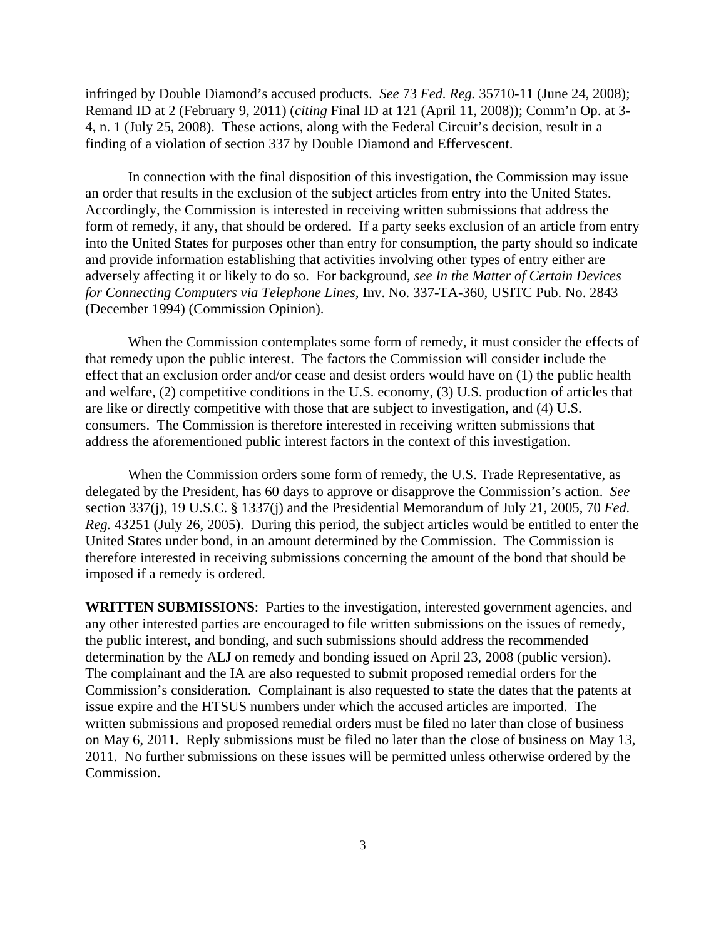infringed by Double Diamond's accused products. *See* 73 *Fed. Reg.* 35710-11 (June 24, 2008); Remand ID at 2 (February 9, 2011) (*citing* Final ID at 121 (April 11, 2008)); Comm'n Op. at 3- 4, n. 1 (July 25, 2008). These actions, along with the Federal Circuit's decision, result in a finding of a violation of section 337 by Double Diamond and Effervescent.

In connection with the final disposition of this investigation, the Commission may issue an order that results in the exclusion of the subject articles from entry into the United States. Accordingly, the Commission is interested in receiving written submissions that address the form of remedy, if any, that should be ordered. If a party seeks exclusion of an article from entry into the United States for purposes other than entry for consumption, the party should so indicate and provide information establishing that activities involving other types of entry either are adversely affecting it or likely to do so. For background, *see In the Matter of Certain Devices for Connecting Computers via Telephone Lines*, Inv. No. 337-TA-360, USITC Pub. No. 2843 (December 1994) (Commission Opinion).

When the Commission contemplates some form of remedy, it must consider the effects of that remedy upon the public interest. The factors the Commission will consider include the effect that an exclusion order and/or cease and desist orders would have on (1) the public health and welfare, (2) competitive conditions in the U.S. economy, (3) U.S. production of articles that are like or directly competitive with those that are subject to investigation, and (4) U.S. consumers. The Commission is therefore interested in receiving written submissions that address the aforementioned public interest factors in the context of this investigation.

When the Commission orders some form of remedy, the U.S. Trade Representative, as delegated by the President, has 60 days to approve or disapprove the Commission's action. *See* section 337(j), 19 U.S.C. § 1337(j) and the Presidential Memorandum of July 21, 2005, 70 *Fed. Reg.* 43251 (July 26, 2005). During this period, the subject articles would be entitled to enter the United States under bond, in an amount determined by the Commission. The Commission is therefore interested in receiving submissions concerning the amount of the bond that should be imposed if a remedy is ordered.

**WRITTEN SUBMISSIONS**: Parties to the investigation, interested government agencies, and any other interested parties are encouraged to file written submissions on the issues of remedy, the public interest, and bonding, and such submissions should address the recommended determination by the ALJ on remedy and bonding issued on April 23, 2008 (public version). The complainant and the IA are also requested to submit proposed remedial orders for the Commission's consideration. Complainant is also requested to state the dates that the patents at issue expire and the HTSUS numbers under which the accused articles are imported. The written submissions and proposed remedial orders must be filed no later than close of business on May 6, 2011. Reply submissions must be filed no later than the close of business on May 13, 2011. No further submissions on these issues will be permitted unless otherwise ordered by the Commission.